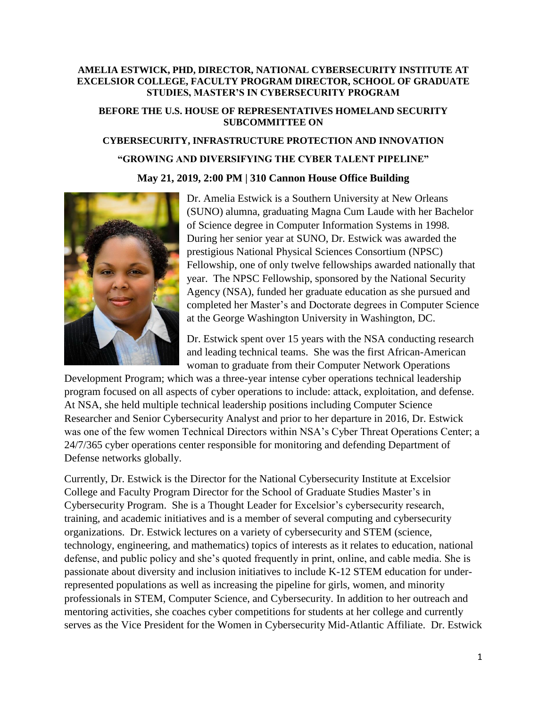## **AMELIA ESTWICK, PHD, DIRECTOR, NATIONAL CYBERSECURITY INSTITUTE AT EXCELSIOR COLLEGE, FACULTY PROGRAM DIRECTOR, SCHOOL OF GRADUATE STUDIES, MASTER'S IN CYBERSECURITY PROGRAM**

## **BEFORE THE U.S. HOUSE OF REPRESENTATIVES HOMELAND SECURITY SUBCOMMITTEE ON**

## **CYBERSECURITY, INFRASTRUCTURE PROTECTION AND INNOVATION "GROWING AND DIVERSIFYING THE CYBER TALENT PIPELINE" May 21, 2019, 2:00 PM | 310 Cannon House Office Building**



Dr. Amelia Estwick is a Southern University at New Orleans (SUNO) alumna, graduating Magna Cum Laude with her Bachelor of Science degree in Computer Information Systems in 1998. During her senior year at SUNO, Dr. Estwick was awarded the prestigious National Physical Sciences Consortium (NPSC) Fellowship, one of only twelve fellowships awarded nationally that year. The NPSC Fellowship, sponsored by the National Security Agency (NSA), funded her graduate education as she pursued and completed her Master's and Doctorate degrees in Computer Science at the George Washington University in Washington, DC.

Dr. Estwick spent over 15 years with the NSA conducting research and leading technical teams. She was the first African-American woman to graduate from their Computer Network Operations

Development Program; which was a three-year intense cyber operations technical leadership program focused on all aspects of cyber operations to include: attack, exploitation, and defense. At NSA, she held multiple technical leadership positions including Computer Science Researcher and Senior Cybersecurity Analyst and prior to her departure in 2016, Dr. Estwick was one of the few women Technical Directors within NSA's Cyber Threat Operations Center; a 24/7/365 cyber operations center responsible for monitoring and defending Department of Defense networks globally.

Currently, Dr. Estwick is the Director for the National Cybersecurity Institute at Excelsior College and Faculty Program Director for the School of Graduate Studies Master's in Cybersecurity Program. She is a Thought Leader for Excelsior's cybersecurity research, training, and academic initiatives and is a member of several computing and cybersecurity organizations. Dr. Estwick lectures on a variety of cybersecurity and STEM (science, technology, engineering, and mathematics) topics of interests as it relates to education, national defense, and public policy and she's quoted frequently in print, online, and cable media. She is passionate about diversity and inclusion initiatives to include K-12 STEM education for underrepresented populations as well as increasing the pipeline for girls, women, and minority professionals in STEM, Computer Science, and Cybersecurity. In addition to her outreach and mentoring activities, she coaches cyber competitions for students at her college and currently serves as the Vice President for the Women in Cybersecurity Mid-Atlantic Affiliate. Dr. Estwick